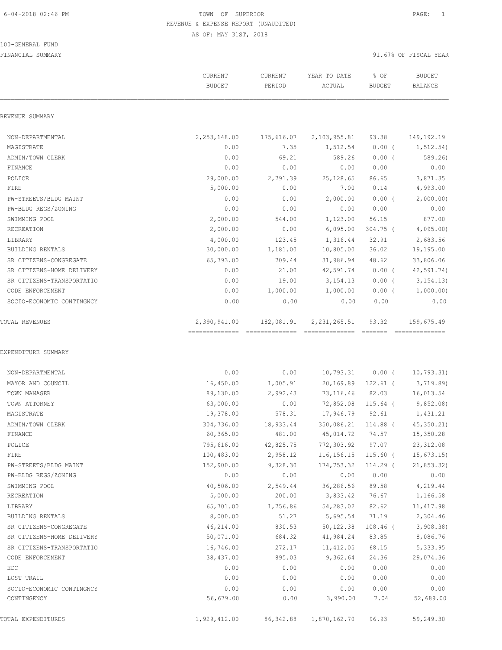#### 100-GENERAL FUND

|                           | CURRENT<br><b>BUDGET</b> | <b>CURRENT</b><br>PERIOD | YEAR TO DATE<br>ACTUAL | % OF<br><b>BUDGET</b> | <b>BUDGET</b><br>BALANCE                                                                                                                                                                                                                                                                                                                                                                                                                                                                                   |
|---------------------------|--------------------------|--------------------------|------------------------|-----------------------|------------------------------------------------------------------------------------------------------------------------------------------------------------------------------------------------------------------------------------------------------------------------------------------------------------------------------------------------------------------------------------------------------------------------------------------------------------------------------------------------------------|
| REVENUE SUMMARY           |                          |                          |                        |                       |                                                                                                                                                                                                                                                                                                                                                                                                                                                                                                            |
| NON-DEPARTMENTAL          | 2,253,148.00             | 175,616.07               | 2,103,955.81           | 93.38                 | 149, 192. 19                                                                                                                                                                                                                                                                                                                                                                                                                                                                                               |
| MAGISTRATE                | 0.00                     | 7.35                     | 1,512.54               | $0.00$ (              | 1,512.54)                                                                                                                                                                                                                                                                                                                                                                                                                                                                                                  |
| ADMIN/TOWN CLERK          | 0.00                     | 69.21                    | 589.26                 | $0.00$ (              | 589.26                                                                                                                                                                                                                                                                                                                                                                                                                                                                                                     |
| FINANCE                   | 0.00                     | 0.00                     | 0.00                   | 0.00                  | 0.00                                                                                                                                                                                                                                                                                                                                                                                                                                                                                                       |
| POLICE                    | 29,000.00                | 2,791.39                 | 25, 128.65             | 86.65                 | 3,871.35                                                                                                                                                                                                                                                                                                                                                                                                                                                                                                   |
| FIRE                      | 5,000.00                 | 0.00                     | 7.00                   | 0.14                  | 4,993.00                                                                                                                                                                                                                                                                                                                                                                                                                                                                                                   |
| PW-STREETS/BLDG MAINT     | 0.00                     | 0.00                     | 2,000.00               | $0.00$ (              | 2,000.00)                                                                                                                                                                                                                                                                                                                                                                                                                                                                                                  |
| PW-BLDG REGS/ZONING       | 0.00                     | 0.00                     | 0.00                   | 0.00                  | 0.00                                                                                                                                                                                                                                                                                                                                                                                                                                                                                                       |
| SWIMMING POOL             | 2,000.00                 | 544.00                   | 1,123.00               | 56.15                 | 877.00                                                                                                                                                                                                                                                                                                                                                                                                                                                                                                     |
| RECREATION                | 2,000.00                 | 0.00                     | 6,095.00               | $304.75$ (            | 4,095.00                                                                                                                                                                                                                                                                                                                                                                                                                                                                                                   |
| LIBRARY                   | 4,000.00                 | 123.45                   | 1,316.44               | 32.91                 | 2,683.56                                                                                                                                                                                                                                                                                                                                                                                                                                                                                                   |
| BUILDING RENTALS          | 30,000.00                | 1,181.00                 | 10,805.00              | 36.02                 | 19,195.00                                                                                                                                                                                                                                                                                                                                                                                                                                                                                                  |
| SR CITIZENS-CONGREGATE    | 65,793.00                | 709.44                   | 31,986.94              | 48.62                 | 33,806.06                                                                                                                                                                                                                                                                                                                                                                                                                                                                                                  |
| SR CITIZENS-HOME DELIVERY | 0.00                     | 21.00                    | 42,591.74              | $0.00$ (              | 42,591.74)                                                                                                                                                                                                                                                                                                                                                                                                                                                                                                 |
| SR CITIZENS-TRANSPORTATIO | 0.00                     | 19.00                    | 3, 154. 13             | $0.00$ (              | 3, 154.13)                                                                                                                                                                                                                                                                                                                                                                                                                                                                                                 |
| CODE ENFORCEMENT          | 0.00                     | 1,000.00                 | 1,000.00               | $0.00$ (              | 1,000.00)                                                                                                                                                                                                                                                                                                                                                                                                                                                                                                  |
| SOCIO-ECONOMIC CONTINGNCY | 0.00                     | 0.00                     | 0.00                   | 0.00                  | 0.00                                                                                                                                                                                                                                                                                                                                                                                                                                                                                                       |
| <b>TOTAL REVENUES</b>     | 2,390,941.00             | 182,081.91               | 2, 231, 265.51         | 93.32                 | 159,675.49<br>$\begin{array}{c} \multicolumn{3}{c} {\textbf{1}} & \multicolumn{3}{c} {\textbf{2}} & \multicolumn{3}{c} {\textbf{3}} & \multicolumn{3}{c} {\textbf{4}} \\ \multicolumn{3}{c} {\textbf{2}} & \multicolumn{3}{c} {\textbf{3}} & \multicolumn{3}{c} {\textbf{4}} & \multicolumn{3}{c} {\textbf{5}} & \multicolumn{3}{c} {\textbf{6}} \\ \multicolumn{3}{c} {\textbf{4}} & \multicolumn{3}{c} {\textbf{5}} & \multicolumn{3}{c} {\textbf{6}} & \multicolumn{3}{c} {\textbf{6}} & \multicolumn{$ |
| NON-DEPARTMENTAL          | 0.00                     | 0.00                     | 10,793.31              | $0.00$ (              | 10,793.31)                                                                                                                                                                                                                                                                                                                                                                                                                                                                                                 |
| MAYOR AND COUNCIL         | 16,450.00                | 1,005.91                 | 20,169.89 122.61 (     |                       | 3,719.89                                                                                                                                                                                                                                                                                                                                                                                                                                                                                                   |
| TOWN MANAGER              | 89,130.00                | 2,992.43                 | 73,116.46 82.03        |                       | 16,013.54                                                                                                                                                                                                                                                                                                                                                                                                                                                                                                  |
| TOWN ATTORNEY             | 63,000.00                | 0.00                     | 72,852.08 115.64 (     |                       | 9,852.08                                                                                                                                                                                                                                                                                                                                                                                                                                                                                                   |
| MAGISTRATE                | 19,378.00                | 578.31                   | 17,946.79              | 92.61                 | 1,431.21                                                                                                                                                                                                                                                                                                                                                                                                                                                                                                   |
| ADMIN/TOWN CLERK          | 304,736.00               | 18,933.44                | 350,086.21             | 114.88 (              | 45, 350.21                                                                                                                                                                                                                                                                                                                                                                                                                                                                                                 |
| FINANCE                   | 60, 365.00               | 481.00                   | 45,014.72              | 74.57                 | 15,350.28                                                                                                                                                                                                                                                                                                                                                                                                                                                                                                  |
| POLICE                    | 795,616.00               | 42,825.75                | 772,303.92             | 97.07                 | 23, 312.08                                                                                                                                                                                                                                                                                                                                                                                                                                                                                                 |
| FIRE                      | 100,483.00               | 2,958.12                 | 116,156.15             | $115.60$ (            | 15,673.15                                                                                                                                                                                                                                                                                                                                                                                                                                                                                                  |
| PW-STREETS/BLDG MAINT     | 152,900.00               | 9,328.30                 | 174,753.32             | 114.29 (              | 21, 853.32)                                                                                                                                                                                                                                                                                                                                                                                                                                                                                                |
| PW-BLDG REGS/ZONING       | 0.00                     | 0.00                     | 0.00                   | 0.00                  | 0.00                                                                                                                                                                                                                                                                                                                                                                                                                                                                                                       |
| SWIMMING POOL             | 40,506.00                | 2,549.44                 | 36,286.56              | 89.58                 | 4,219.44                                                                                                                                                                                                                                                                                                                                                                                                                                                                                                   |
| RECREATION                | 5,000.00                 | 200.00                   | 3,833.42               | 76.67                 | 1,166.58                                                                                                                                                                                                                                                                                                                                                                                                                                                                                                   |
| LIBRARY                   | 65,701.00                | 1,756.86                 | 54,283.02              | 82.62                 | 11, 417.98                                                                                                                                                                                                                                                                                                                                                                                                                                                                                                 |
| BUILDING RENTALS          | 8,000.00                 | 51.27                    | 5,695.54               | 71.19                 | 2,304.46                                                                                                                                                                                                                                                                                                                                                                                                                                                                                                   |
| SR CITIZENS-CONGREGATE    | 46,214.00                | 830.53                   | 50, 122.38             | $108.46$ (            | 3,908.38                                                                                                                                                                                                                                                                                                                                                                                                                                                                                                   |
| SR CITIZENS-HOME DELIVERY | 50,071.00                | 684.32                   | 41,984.24              | 83.85                 | 8,086.76                                                                                                                                                                                                                                                                                                                                                                                                                                                                                                   |
| SR CITIZENS-TRANSPORTATIO | 16,746.00                | 272.17                   | 11, 412.05             | 68.15                 | 5,333.95                                                                                                                                                                                                                                                                                                                                                                                                                                                                                                   |
| CODE ENFORCEMENT          | 38,437.00                | 895.03                   | 9,362.64               | 24.36                 | 29,074.36                                                                                                                                                                                                                                                                                                                                                                                                                                                                                                  |
| EDC                       | 0.00                     | 0.00                     | 0.00                   | 0.00                  | 0.00                                                                                                                                                                                                                                                                                                                                                                                                                                                                                                       |
| LOST TRAIL                | 0.00                     | 0.00                     | 0.00                   | 0.00                  | 0.00                                                                                                                                                                                                                                                                                                                                                                                                                                                                                                       |
| SOCIO-ECONOMIC CONTINGNCY | 0.00                     | 0.00                     | 0.00                   | 0.00                  | 0.00                                                                                                                                                                                                                                                                                                                                                                                                                                                                                                       |
| CONTINGENCY               | 56,679.00                | 0.00                     | 3,990.00               | 7.04                  | 52,689.00                                                                                                                                                                                                                                                                                                                                                                                                                                                                                                  |
| TOTAL EXPENDITURES        | 1,929,412.00             | 86, 342.88               | 1,870,162.70           | 96.93                 | 59,249.30                                                                                                                                                                                                                                                                                                                                                                                                                                                                                                  |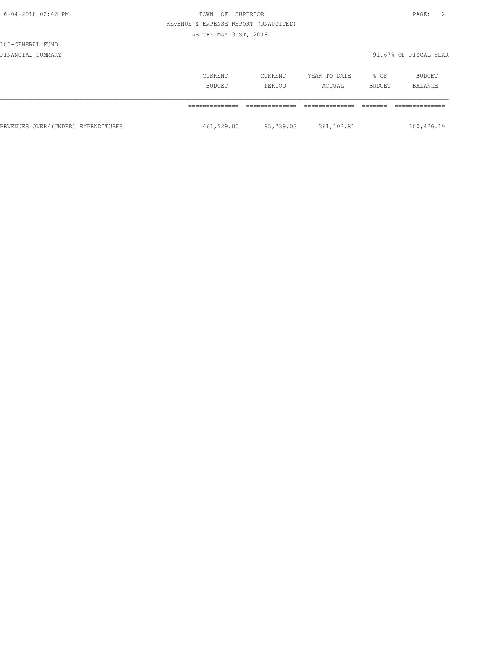| $\cdot$ $\cdot$<br>ı<br>. . |  |
|-----------------------------|--|
|-----------------------------|--|

# 100-GENERAL FUND

|                                    | CURRENT<br><b>BUDGET</b> | CURRENT<br>PERIOD | YEAR TO DATE<br>ACTUAL | % OF<br>BUDGET | BUDGET<br>BALANCE |
|------------------------------------|--------------------------|-------------------|------------------------|----------------|-------------------|
|                                    |                          |                   |                        |                |                   |
| REVENUES OVER/(UNDER) EXPENDITURES | 461,529.00               | 95,739.03         | 361,102.81             |                | 100,426.19        |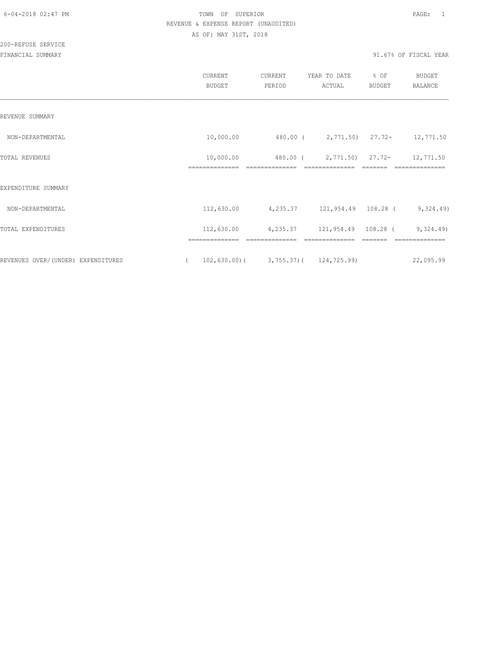200-REFUSE SERVICE

|                                    | CURRENT<br><b>BUDGET</b>   | CURRENT<br>PERIOD | YEAR TO DATE<br>ACTUAL                    | % OF<br><b>BUDGET</b> | <b>BUDGET</b><br><b>BALANCE</b> |
|------------------------------------|----------------------------|-------------------|-------------------------------------------|-----------------------|---------------------------------|
| REVENUE SUMMARY                    |                            |                   |                                           |                       |                                 |
| NON-DEPARTMENTAL                   | 10,000.00                  |                   | 480.00 (2,771.50) 27.72- 12,771.50        |                       |                                 |
| TOTAL REVENUES                     | 10,000.00                  | 480.00 (          |                                           |                       | 2,771.50) 27.72- 12,771.50      |
| EXPENDITURE SUMMARY                |                            |                   |                                           |                       |                                 |
| NON-DEPARTMENTAL                   | 112,630.00                 |                   | 4,235.37 121,954.49 108.28 (9,324.49)     |                       |                                 |
| TOTAL EXPENDITURES                 |                            |                   | $112,630.00$ 4,235.37 121,954.49 108.28 ( |                       | 9,324.49                        |
| REVENUES OVER/(UNDER) EXPENDITURES | ==============<br>$\left($ |                   | $102,630.00$ ( 3,755.37) ( 124,725.99)    |                       | 22,095.99                       |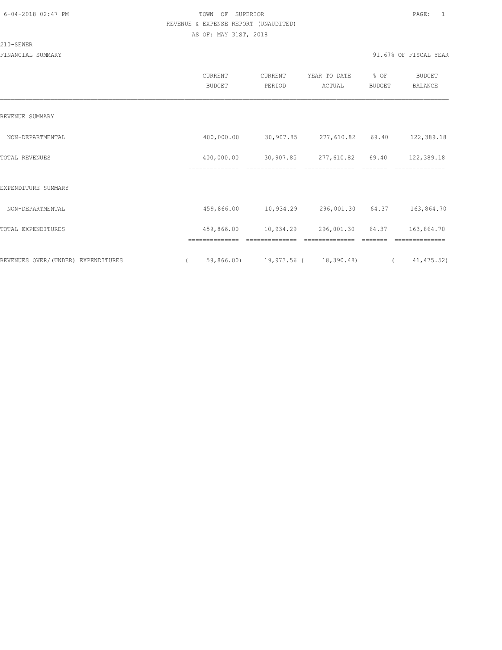#### 210-SEWER

|                                    | CURRENT<br><b>BUDGET</b>                | CURRENT<br>PERIOD                       | YEAR TO DATE<br>ACTUAL       | % OF<br><b>BUDGET</b> | <b>BUDGET</b><br><b>BALANCE</b> |
|------------------------------------|-----------------------------------------|-----------------------------------------|------------------------------|-----------------------|---------------------------------|
| REVENUE SUMMARY                    |                                         |                                         |                              |                       |                                 |
| NON-DEPARTMENTAL                   | 400,000.00                              | 30,907.85                               | 277,610.82                   | 69.40                 | 122,389.18                      |
| TOTAL REVENUES                     | 400,000.00<br>==============            | 30,907.85<br>==============             | 277,610.82<br>============== | 69.40                 | 122,389.18<br>==============    |
| EXPENDITURE SUMMARY                |                                         |                                         |                              |                       |                                 |
| NON-DEPARTMENTAL                   | 459,866.00                              | 10,934.29                               | 296,001.30 64.37             |                       | 163,864.70                      |
| TOTAL EXPENDITURES                 | 459,866.00                              | 10,934.29                               | 296,001.30                   | 64.37                 | 163,864.70                      |
| REVENUES OVER/(UNDER) EXPENDITURES | ==============<br>59,866.00<br>$\left($ | ==============<br>19,973.56 (18,390.48) | ==============               | $\left($              | ==============<br>41, 475.52)   |
|                                    |                                         |                                         |                              |                       |                                 |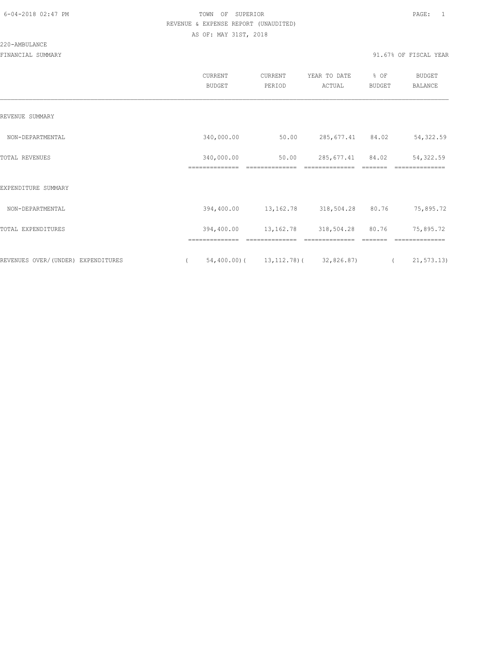#### 220-AMBULANCE

|                                    | <b>CURRENT</b><br><b>BUDGET</b> | CURRENT<br>PERIOD                           | YEAR TO DATE<br>ACTUAL | % OF<br><b>BUDGET</b> | <b>BUDGET</b><br>BALANCE  |
|------------------------------------|---------------------------------|---------------------------------------------|------------------------|-----------------------|---------------------------|
| REVENUE SUMMARY                    |                                 |                                             |                        |                       |                           |
| NON-DEPARTMENTAL                   | 340,000.00                      | 50.00                                       | 285,677.41 84.02       |                       | 54,322.59                 |
| TOTAL REVENUES                     | 340,000.00<br>==============    | 50.00                                       | 285,677.41             | 84.02                 | 54,322.59                 |
| EXPENDITURE SUMMARY                |                                 |                                             |                        |                       |                           |
| NON-DEPARTMENTAL                   | 394,400.00                      | 13,162.78                                   | 318,504.28             | 80.76                 | 75,895.72                 |
| TOTAL EXPENDITURES                 | 394,400.00                      | 13,162.78                                   | 318,504.28             | 80.76                 | 75,895.72                 |
|                                    |                                 |                                             |                        |                       |                           |
| REVENUES OVER/(UNDER) EXPENDITURES | $\left($                        | $54,400.00$ ( $13,112.78$ ) ( $32,826.87$ ) |                        |                       | 21, 573.13)<br>$\sqrt{2}$ |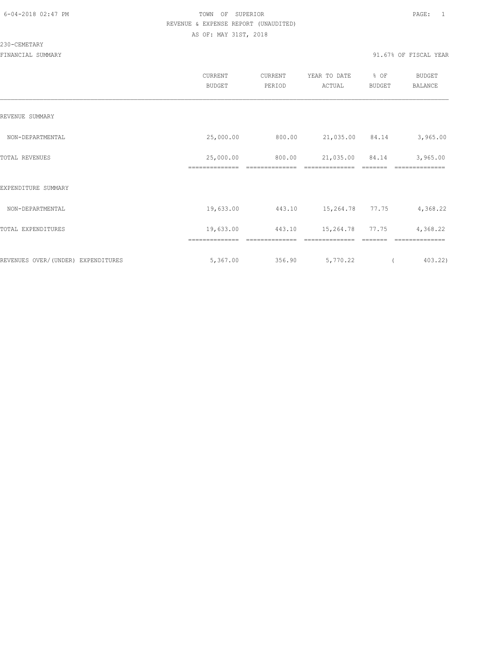### 230-CEMETARY

|                                     | CURRENT<br>BUDGET | CURRENT<br>PERIOD | YEAR TO DATE<br>ACTUAL | % OF<br><b>BUDGET</b> | <b>BUDGET</b><br>BALANCE |
|-------------------------------------|-------------------|-------------------|------------------------|-----------------------|--------------------------|
| REVENUE SUMMARY                     |                   |                   |                        |                       |                          |
| NON-DEPARTMENTAL                    | 25,000.00         | 800.00            | 21,035.00 84.14        |                       | 3,965.00                 |
| TOTAL REVENUES                      | 25,000.00         | 800.00            | 21,035.00              | 84.14                 | 3,965.00                 |
| EXPENDITURE SUMMARY                 |                   |                   |                        |                       |                          |
| NON-DEPARTMENTAL                    | 19,633.00         | 443.10            | 15,264.78 77.75        |                       | 4,368.22                 |
| TOTAL EXPENDITURES                  | 19,633.00         | 443.10            | 15,264.78              | 77.75                 | 4,368.22                 |
|                                     |                   |                   |                        |                       |                          |
| REVENUES OVER/ (UNDER) EXPENDITURES | 5,367.00          | 356.90            | 5,770.22               |                       | 403.22)                  |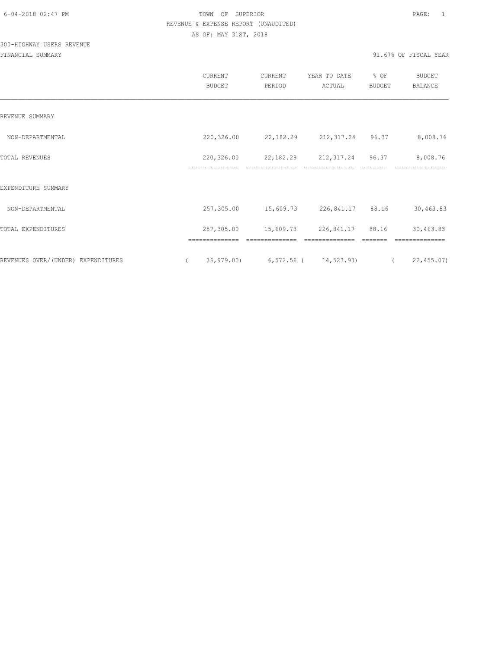# 300-HIGHWAY USERS REVENUE

|                                    | CURRENT<br>BUDGET | CURRENT<br>PERIOD                  | YEAR TO DATE<br>ACTUAL | % OF<br>BUDGET | <b>BUDGET</b><br>BALANCE |
|------------------------------------|-------------------|------------------------------------|------------------------|----------------|--------------------------|
| REVENUE SUMMARY                    |                   |                                    |                        |                |                          |
| NON-DEPARTMENTAL                   | 220,326.00        | 22, 182. 29 212, 317. 24 96. 37    |                        |                | 8,008.76                 |
| <b>TOTAL REVENUES</b>              | 220,326.00        | 22,182.29                          | 212,317.24             | 96.37          | 8,008.76                 |
| EXPENDITURE SUMMARY                |                   |                                    |                        |                |                          |
| NON-DEPARTMENTAL                   | 257,305.00        | 15,609.73 226,841.17 88.16         |                        |                | 30,463.83                |
| TOTAL EXPENDITURES                 | 257,305.00        | 15,609.73                          | 226,841.17 88.16       |                | 30,463.83                |
| REVENUES OVER/(UNDER) EXPENDITURES | $\sqrt{2}$        | 36,979.00) 6,572.56 ( 14,523.93) ( |                        |                | 22,455.07)               |
|                                    |                   |                                    |                        |                |                          |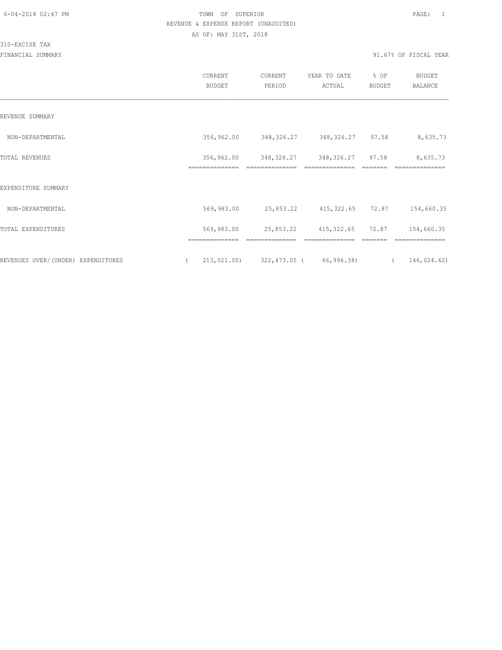310-EXCISE TAX

|                                    | CURRENT<br><b>BUDGET</b>     | CURRENT<br>PERIOD | YEAR TO DATE<br>ACTUAL | % OF<br>BUDGET | <b>BUDGET</b><br>BALANCE   |
|------------------------------------|------------------------------|-------------------|------------------------|----------------|----------------------------|
| REVENUE SUMMARY                    |                              |                   |                        |                |                            |
| NON-DEPARTMENTAL                   | 356,962.00                   | 348,326.27        | 348,326.27             | 97.58          | 8,635.73                   |
| TOTAL REVENUES                     | 356,962.00<br>============== | 348,326.27        | 348, 326. 27 97. 58    |                | 8,635.73<br>============== |
| EXPENDITURE SUMMARY                |                              |                   |                        |                |                            |
| NON-DEPARTMENTAL                   | 569,983.00                   | 25,853.22         | 415,322.65             | 72.87          | 154,660.35                 |
| TOTAL EXPENDITURES                 | 569,983.00                   | 25,853.22         | 415, 322.65            | 72.87          | 154,660.35                 |
| REVENUES OVER/(UNDER) EXPENDITURES | --------------<br>213,021.00 | 322,473.05 (      | 66,996.38)             |                | 146,024.62)                |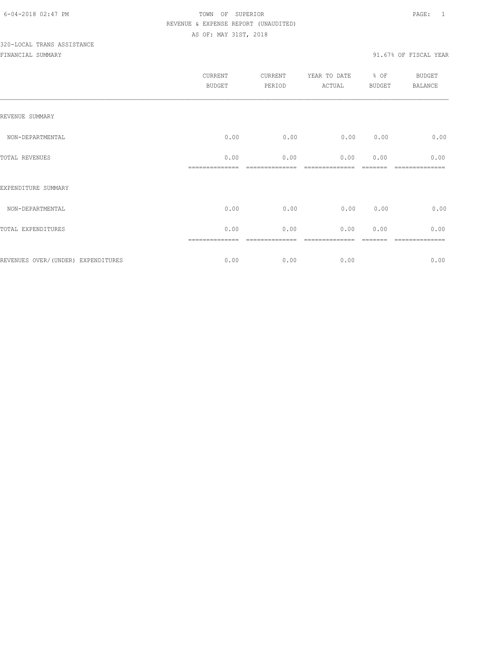# 320-LOCAL TRANS ASSISTANCE

|                                    | CURRENT<br><b>BUDGET</b> | <b>CURRENT</b><br>PERIOD | YEAR TO DATE<br>ACTUAL | % OF<br><b>BUDGET</b> | <b>BUDGET</b><br><b>BALANCE</b> |
|------------------------------------|--------------------------|--------------------------|------------------------|-----------------------|---------------------------------|
| REVENUE SUMMARY                    |                          |                          |                        |                       |                                 |
| NON-DEPARTMENTAL                   | 0.00                     | 0.00                     | 0.00                   | 0.00                  | 0.00                            |
| TOTAL REVENUES                     | 0.00                     | 0.00                     | 0.00                   | 0.00                  | 0.00                            |
| EXPENDITURE SUMMARY                |                          |                          |                        |                       |                                 |
| NON-DEPARTMENTAL                   | 0.00                     | 0.00                     | 0.00                   | 0.00                  | 0.00                            |
| TOTAL EXPENDITURES                 | 0.00                     | 0.00                     | 0.00                   | 0.00                  | 0.00                            |
| REVENUES OVER/(UNDER) EXPENDITURES | 0.00                     | 0.00                     | 0.00                   |                       | =======<br>0.00                 |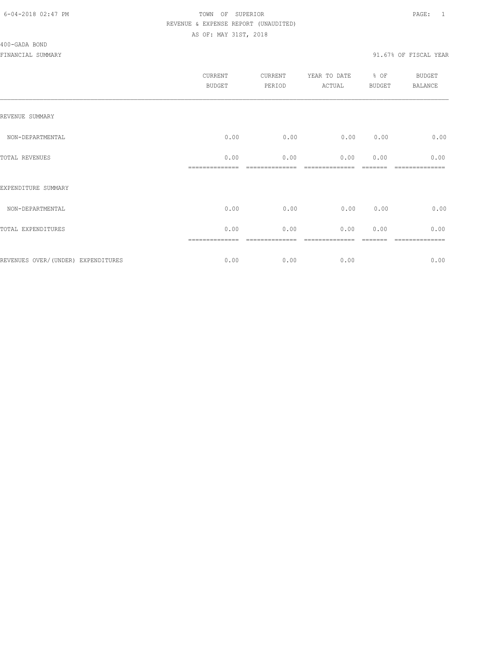|                                    | <b>CURRENT</b><br><b>BUDGET</b> | CURRENT<br>PERIOD | YEAR TO DATE<br>ACTUAL | % OF<br>BUDGET | BUDGET<br><b>BALANCE</b> |
|------------------------------------|---------------------------------|-------------------|------------------------|----------------|--------------------------|
| REVENUE SUMMARY                    |                                 |                   |                        |                |                          |
| NON-DEPARTMENTAL                   | 0.00                            | 0.00              | 0.00                   | 0.00           | 0.00                     |
| TOTAL REVENUES                     | 0.00                            | 0.00              | 0.00                   | 0.00           | 0.00                     |
| EXPENDITURE SUMMARY                |                                 |                   |                        |                |                          |
| NON-DEPARTMENTAL                   | 0.00                            | 0.00              | 0.00                   | 0.00           | 0.00                     |
| TOTAL EXPENDITURES                 | 0.00                            | 0.00              | 0.00                   | 0.00           | 0.00                     |
| REVENUES OVER/(UNDER) EXPENDITURES | 0.00                            | 0.00              | 0.00                   |                | =======<br>0.00          |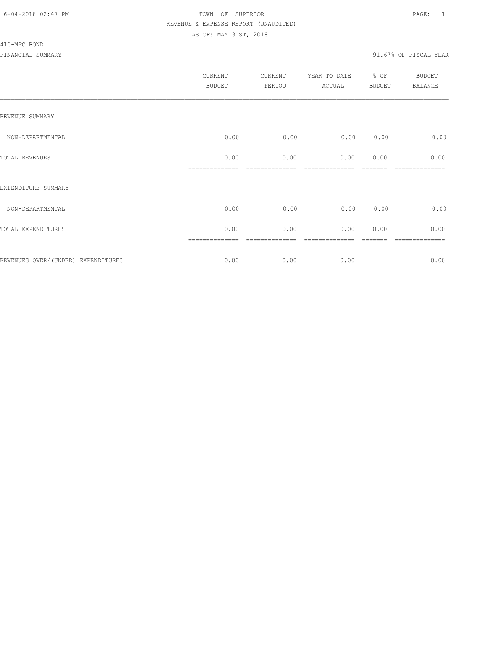#### 410-MPC BOND

|                                    | <b>CURRENT</b><br><b>BUDGET</b> | <b>CURRENT</b><br>PERIOD | YEAR TO DATE<br>ACTUAL | % OF<br><b>BUDGET</b> | BUDGET<br><b>BALANCE</b> |
|------------------------------------|---------------------------------|--------------------------|------------------------|-----------------------|--------------------------|
| REVENUE SUMMARY                    |                                 |                          |                        |                       |                          |
| NON-DEPARTMENTAL                   | 0.00                            | 0.00                     | 0.00                   | 0.00                  | 0.00                     |
| TOTAL REVENUES                     | 0.00                            | 0.00                     | 0.00                   | 0.00                  | 0.00                     |
| EXPENDITURE SUMMARY                |                                 |                          |                        |                       |                          |
| NON-DEPARTMENTAL                   | 0.00                            | 0.00                     | 0.00                   | 0.00                  | 0.00                     |
| TOTAL EXPENDITURES                 | 0.00                            | 0.00                     | 0.00                   | 0.00                  | 0.00                     |
| REVENUES OVER/(UNDER) EXPENDITURES | 0.00                            | 0.00                     | 0.00                   |                       | =======<br>0.00          |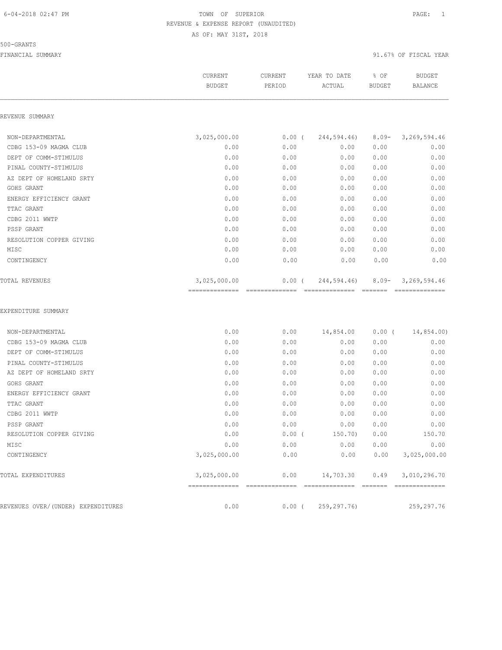#### 500-GRANTS

|                                    | CURRENT<br><b>BUDGET</b>                        | CURRENT<br>PERIOD       | YEAR TO DATE<br>ACTUAL         | % OF<br><b>BUDGET</b>                                                                                                                                                                                                                                                                                                                                                                                                                                                                              | <b>BUDGET</b><br><b>BALANCE</b>   |
|------------------------------------|-------------------------------------------------|-------------------------|--------------------------------|----------------------------------------------------------------------------------------------------------------------------------------------------------------------------------------------------------------------------------------------------------------------------------------------------------------------------------------------------------------------------------------------------------------------------------------------------------------------------------------------------|-----------------------------------|
| REVENUE SUMMARY                    |                                                 |                         |                                |                                                                                                                                                                                                                                                                                                                                                                                                                                                                                                    |                                   |
| NON-DEPARTMENTAL                   | 3,025,000.00                                    | $0.00$ (                | 244,594.46)                    | $8.09 -$                                                                                                                                                                                                                                                                                                                                                                                                                                                                                           | 3,269,594.46                      |
| CDBG 153-09 MAGMA CLUB             | 0.00                                            | 0.00                    | 0.00                           | 0.00                                                                                                                                                                                                                                                                                                                                                                                                                                                                                               | 0.00                              |
| DEPT OF COMM-STIMULUS              | 0.00                                            | 0.00                    | 0.00                           | 0.00                                                                                                                                                                                                                                                                                                                                                                                                                                                                                               | 0.00                              |
| PINAL COUNTY-STIMULUS              | 0.00                                            | 0.00                    | 0.00                           | 0.00                                                                                                                                                                                                                                                                                                                                                                                                                                                                                               | 0.00                              |
| AZ DEPT OF HOMELAND SRTY           | 0.00                                            | 0.00                    | 0.00                           | 0.00                                                                                                                                                                                                                                                                                                                                                                                                                                                                                               | 0.00                              |
| GOHS GRANT                         | 0.00                                            | 0.00                    | 0.00                           | 0.00                                                                                                                                                                                                                                                                                                                                                                                                                                                                                               | 0.00                              |
| ENERGY EFFICIENCY GRANT            | 0.00                                            | 0.00                    | 0.00                           | 0.00                                                                                                                                                                                                                                                                                                                                                                                                                                                                                               | 0.00                              |
| TTAC GRANT                         | 0.00                                            | 0.00                    | 0.00                           | 0.00                                                                                                                                                                                                                                                                                                                                                                                                                                                                                               | 0.00                              |
| CDBG 2011 WWTP                     | 0.00                                            | 0.00                    | 0.00                           | 0.00                                                                                                                                                                                                                                                                                                                                                                                                                                                                                               | 0.00                              |
| PSSP GRANT                         | 0.00                                            | 0.00                    | 0.00                           | 0.00                                                                                                                                                                                                                                                                                                                                                                                                                                                                                               | 0.00                              |
| RESOLUTION COPPER GIVING           | 0.00                                            | 0.00                    | 0.00                           | 0.00                                                                                                                                                                                                                                                                                                                                                                                                                                                                                               | 0.00                              |
| MISC                               | 0.00                                            | 0.00                    | 0.00                           | 0.00                                                                                                                                                                                                                                                                                                                                                                                                                                                                                               | 0.00                              |
| CONTINGENCY                        | 0.00                                            | 0.00                    | 0.00                           | 0.00                                                                                                                                                                                                                                                                                                                                                                                                                                                                                               | 0.00                              |
| TOTAL REVENUES                     | 3,025,000.00<br>--------------- --------------- | $0.00$ (                | 244,594.46)<br>--------------- | $8.09 -$<br>$\begin{array}{cccccccccc} \multicolumn{2}{c}{} & \multicolumn{2}{c}{} & \multicolumn{2}{c}{} & \multicolumn{2}{c}{} & \multicolumn{2}{c}{} & \multicolumn{2}{c}{} & \multicolumn{2}{c}{} & \multicolumn{2}{c}{} & \multicolumn{2}{c}{} & \multicolumn{2}{c}{} & \multicolumn{2}{c}{} & \multicolumn{2}{c}{} & \multicolumn{2}{c}{} & \multicolumn{2}{c}{} & \multicolumn{2}{c}{} & \multicolumn{2}{c}{} & \multicolumn{2}{c}{} & \multicolumn{2}{c}{} & \multicolumn{2}{c}{} & \mult$ | 3, 269, 594.46<br>--------------- |
| EXPENDITURE SUMMARY                |                                                 |                         |                                |                                                                                                                                                                                                                                                                                                                                                                                                                                                                                                    |                                   |
| NON-DEPARTMENTAL                   | 0.00                                            | 0.00                    | 14,854.00                      | $0.00$ (                                                                                                                                                                                                                                                                                                                                                                                                                                                                                           | 14,854.00)                        |
| CDBG 153-09 MAGMA CLUB             | 0.00                                            | 0.00                    | 0.00                           | 0.00                                                                                                                                                                                                                                                                                                                                                                                                                                                                                               | 0.00                              |
| DEPT OF COMM-STIMULUS              | 0.00                                            | 0.00                    | 0.00                           | 0.00                                                                                                                                                                                                                                                                                                                                                                                                                                                                                               | 0.00                              |
| PINAL COUNTY-STIMULUS              | 0.00                                            | 0.00                    | 0.00                           | 0.00                                                                                                                                                                                                                                                                                                                                                                                                                                                                                               | 0.00                              |
| AZ DEPT OF HOMELAND SRTY           | 0.00                                            | 0.00                    | 0.00                           | 0.00                                                                                                                                                                                                                                                                                                                                                                                                                                                                                               | 0.00                              |
| GOHS GRANT                         | 0.00                                            | 0.00                    | 0.00                           | 0.00                                                                                                                                                                                                                                                                                                                                                                                                                                                                                               | 0.00                              |
| ENERGY EFFICIENCY GRANT            | 0.00                                            | 0.00                    | 0.00                           | 0.00                                                                                                                                                                                                                                                                                                                                                                                                                                                                                               | 0.00                              |
| TTAC GRANT                         | 0.00                                            | 0.00                    | 0.00                           | 0.00                                                                                                                                                                                                                                                                                                                                                                                                                                                                                               | 0.00                              |
| CDBG 2011 WWTP                     | 0.00                                            | 0.00                    | 0.00                           | 0.00                                                                                                                                                                                                                                                                                                                                                                                                                                                                                               | 0.00                              |
| PSSP GRANT                         | 0.00                                            | 0.00                    | 0.00                           | 0.00                                                                                                                                                                                                                                                                                                                                                                                                                                                                                               | 0.00                              |
| RESOLUTION COPPER GIVING           | 0.00                                            | $0.00$ (                | 150.70)                        | 0.00                                                                                                                                                                                                                                                                                                                                                                                                                                                                                               | 150.70                            |
| MISC                               | 0.00                                            | 0.00                    | 0.00                           | 0.00                                                                                                                                                                                                                                                                                                                                                                                                                                                                                               | 0.00                              |
| CONTINGENCY                        | 3,025,000.00                                    | 0.00                    | 0.00                           | 0.00                                                                                                                                                                                                                                                                                                                                                                                                                                                                                               | 3,025,000.00                      |
| TOTAL EXPENDITURES                 | 3,025,000.00<br>==============                  | 0.00<br>--------------- | 14,703.30                      | 0.49                                                                                                                                                                                                                                                                                                                                                                                                                                                                                               | 3,010,296.70                      |
| REVENUES OVER/(UNDER) EXPENDITURES | 0.00                                            | $0.00$ (                | 259, 297. 76)                  |                                                                                                                                                                                                                                                                                                                                                                                                                                                                                                    | 259,297.76                        |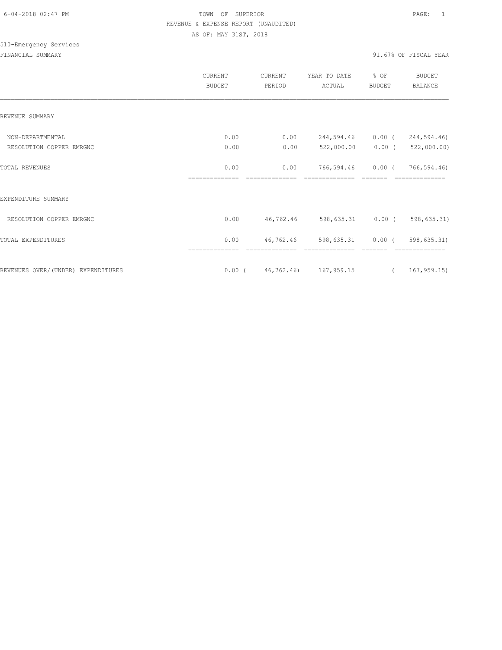# 510-Emergency Services

|                                    | CURRENT<br><b>BUDGET</b> | CURRENT<br>PERIOD | YEAR TO DATE<br>ACTUAL            | % OF<br><b>BUDGET</b> | <b>BUDGET</b><br>BALANCE |
|------------------------------------|--------------------------|-------------------|-----------------------------------|-----------------------|--------------------------|
| REVENUE SUMMARY                    |                          |                   |                                   |                       |                          |
| NON-DEPARTMENTAL                   | 0.00                     | 0.00              | 244,594.46                        | $0.00$ (              | 244,594.46)              |
| RESOLUTION COPPER EMRGNC           | 0.00                     | 0.00              | 522,000.00                        | $0.00$ (              | 522,000.00)              |
| <b>TOTAL REVENUES</b>              | 0.00<br>--------------   | 0.00              | 766,594.46                        | 0.00(                 | 766,594.46)              |
| EXPENDITURE SUMMARY                |                          |                   |                                   |                       |                          |
| RESOLUTION COPPER EMRGNC           | 0.00                     |                   | 46,762.46 598,635.31 0.00 (       |                       | 598,635.31)              |
| TOTAL EXPENDITURES                 | 0.00                     | 46,762.46         | 598,635.31                        | $0.00$ (              | 598,635.31)              |
| REVENUES OVER/(UNDER) EXPENDITURES |                          |                   | $0.00$ ( $46,762.46$ ) 167,959.15 | $\sqrt{2}$            | 167,959.15)              |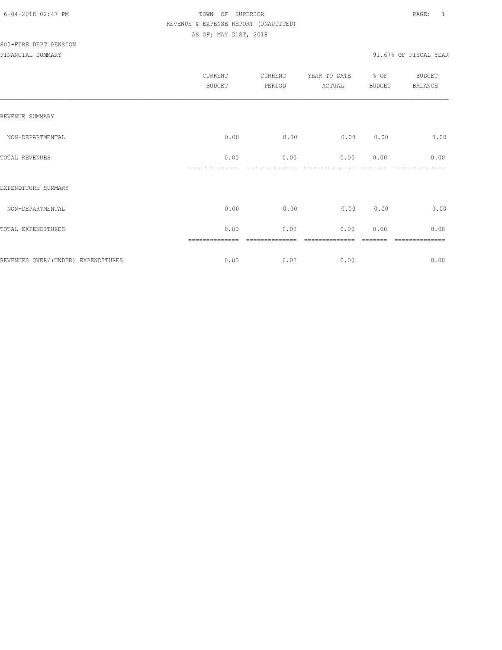| <b>CURRENT</b><br><b>BUDGET</b> | CURRENT<br>PERIOD | YEAR TO DATE<br>ACTUAL | % OF<br><b>BUDGET</b> | <b>BUDGET</b><br><b>BALANCE</b> |
|---------------------------------|-------------------|------------------------|-----------------------|---------------------------------|
|                                 |                   |                        |                       |                                 |
| 0.00                            | 0.00              | 0.00                   | 0.00                  | 0.00                            |
| 0.00                            | 0.00              | 0.00                   | 0.00                  | 0.00<br>-----------             |
|                                 |                   |                        |                       |                                 |
| 0.00                            | 0.00              | 0.00                   | 0.00                  | 0.00                            |
| 0.00                            | 0.00              | 0.00                   | 0.00                  | 0.00                            |
| 0.00                            | 0.00              | 0.00                   |                       | 0.00                            |
|                                 |                   |                        |                       |                                 |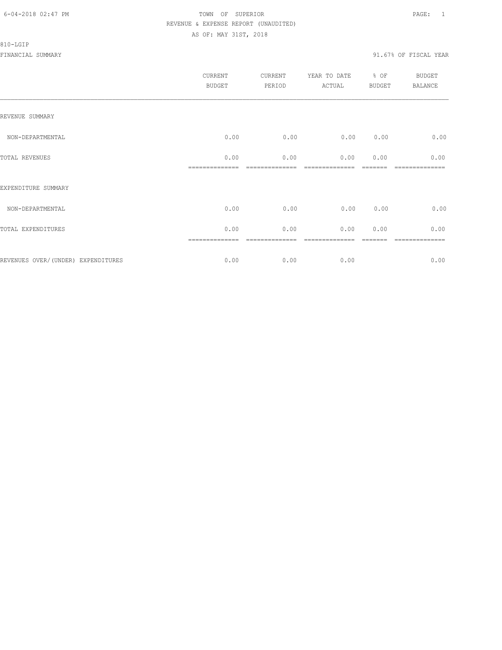#### 810-LGIP

|                                     | CURRENT<br>BUDGET | CURRENT<br>PERIOD | YEAR TO DATE<br>ACTUAL | % OF<br>BUDGET | <b>BUDGET</b><br>BALANCE |
|-------------------------------------|-------------------|-------------------|------------------------|----------------|--------------------------|
| REVENUE SUMMARY                     |                   |                   |                        |                |                          |
| NON-DEPARTMENTAL                    | 0.00              | 0.00              | 0.00                   | 0.00           | 0.00                     |
| TOTAL REVENUES                      | 0.00              | 0.00              | 0.00                   | 0.00           | 0.00                     |
| EXPENDITURE SUMMARY                 |                   |                   |                        |                |                          |
| NON-DEPARTMENTAL                    | 0.00              | 0.00              | 0.00                   | 0.00           | 0.00                     |
| TOTAL EXPENDITURES                  | 0.00              | 0.00              | 0.00                   | 0.00           | 0.00                     |
|                                     |                   |                   |                        |                | ========                 |
| REVENUES OVER/ (UNDER) EXPENDITURES | 0.00              | 0.00              | 0.00                   |                | 0.00                     |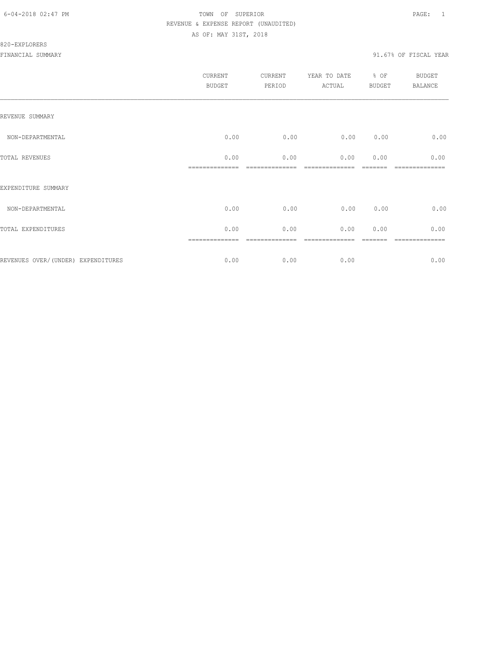### 820-EXPLORERS

|                                    | <b>CURRENT</b><br><b>BUDGET</b> | CURRENT<br>PERIOD | YEAR TO DATE<br>ACTUAL | % OF<br><b>BUDGET</b> | BUDGET<br><b>BALANCE</b> |
|------------------------------------|---------------------------------|-------------------|------------------------|-----------------------|--------------------------|
| REVENUE SUMMARY                    |                                 |                   |                        |                       |                          |
| NON-DEPARTMENTAL                   | 0.00                            | 0.00              | 0.00                   | 0.00                  | 0.00                     |
| TOTAL REVENUES                     | 0.00                            | 0.00              | 0.00                   | 0.00                  | 0.00                     |
| EXPENDITURE SUMMARY                |                                 |                   |                        |                       |                          |
| NON-DEPARTMENTAL                   | 0.00                            | 0.00              | 0.00                   | 0.00                  | 0.00                     |
| TOTAL EXPENDITURES                 | 0.00                            | 0.00              | 0.00                   | 0.00                  | 0.00                     |
| REVENUES OVER/(UNDER) EXPENDITURES | 0.00                            | 0.00              | 0.00                   |                       | $====$<br>0.00           |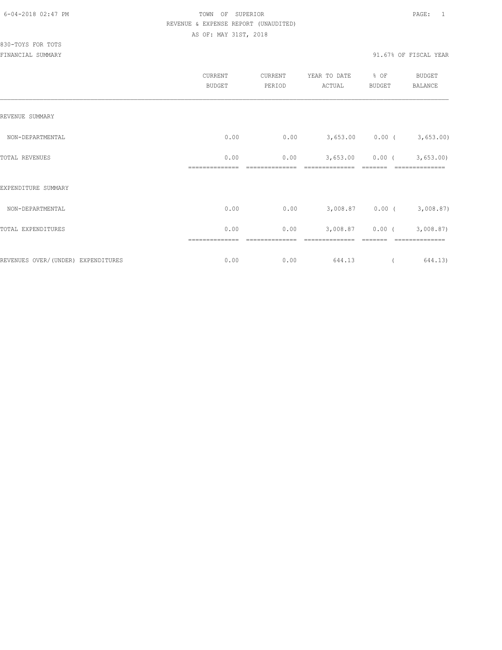| CURRENT<br><b>BUDGET</b> | <b>CURRENT</b><br>PERIOD | YEAR TO DATE<br>ACTUAL | % OF<br><b>BUDGET</b> | BUDGET<br><b>BALANCE</b>                         |
|--------------------------|--------------------------|------------------------|-----------------------|--------------------------------------------------|
|                          |                          |                        |                       |                                                  |
| 0.00                     | 0.00                     |                        |                       |                                                  |
| 0.00                     | 0.00                     | 3,653.00               | $0.00$ (              | 3,653.00                                         |
|                          |                          |                        |                       |                                                  |
| 0.00                     | 0.00                     |                        |                       | 3,008.87)                                        |
| 0.00                     | 0.00                     | 3,008.87               | $0.00$ (              | 3,008.87)                                        |
| 0.00                     | 0.00                     | 644.13                 |                       | 644.13)                                          |
|                          |                          |                        |                       | $3,653.00$ 0.00 ( 3,653.00)<br>$3,008.87$ 0.00 ( |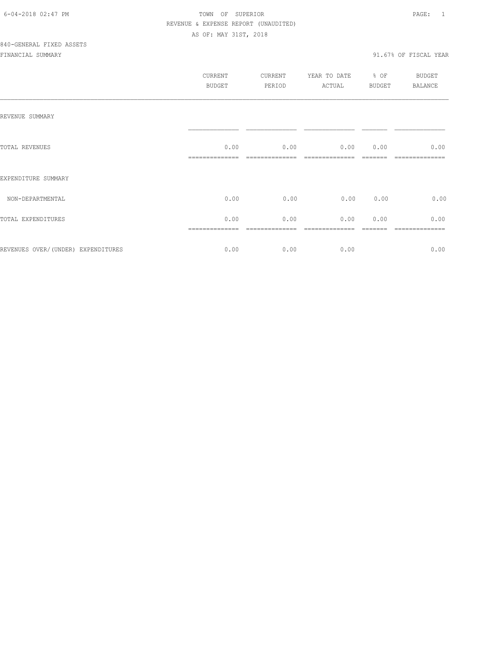|                                     | <b>CURRENT</b><br><b>BUDGET</b> | CURRENT<br>PERIOD | YEAR TO DATE<br>ACTUAL | $\div$ OF<br>BUDGET | BUDGET<br>BALANCE      |
|-------------------------------------|---------------------------------|-------------------|------------------------|---------------------|------------------------|
| REVENUE SUMMARY                     |                                 |                   |                        |                     |                        |
| TOTAL REVENUES                      | 0.00                            | 0.00              | 0.00 0.00              |                     | 0.00                   |
| EXPENDITURE SUMMARY                 |                                 |                   |                        |                     |                        |
| NON-DEPARTMENTAL                    | 0.00                            | 0.00              | 0.00                   | 0.00                | 0.00                   |
| TOTAL EXPENDITURES                  | 0.00                            | 0.00              | 0.00                   | 0.00                | 0.00<br>============== |
| REVENUES OVER/ (UNDER) EXPENDITURES | 0.00                            | 0.00              | 0.00                   |                     | 0.00                   |